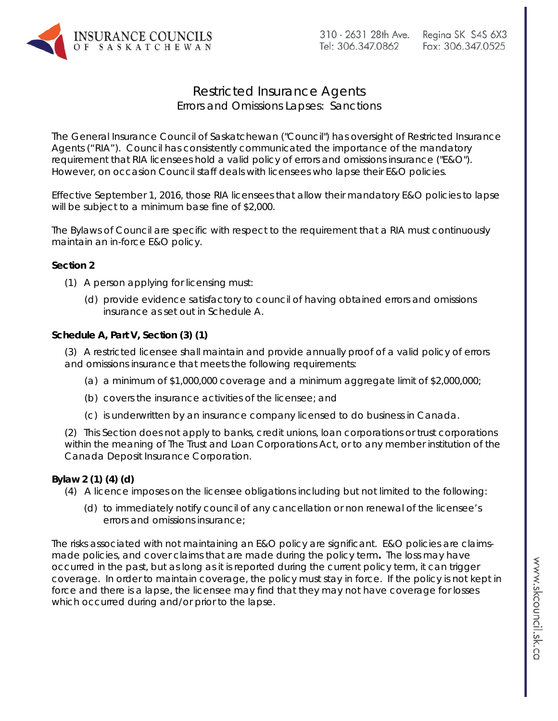

## Restricted Insurance Agents Errors and Omissions Lapses: Sanctions

The General Insurance Council of Saskatchewan ("Council") has oversight of Restricted Insurance Agents ("RIA"). Council has consistently communicated the importance of the mandatory requirement that RIA licensees hold a valid policy of errors and omissions insurance ("E&O"). However, on occasion Council staff deals with licensees who lapse their E&O policies.

Effective September 1, 2016, those RIA licensees that allow their mandatory E&O policies to lapse will be subject to a minimum base fine of \$2,000.

The Bylaws of Council are specific with respect to the requirement that a RIA must continuously maintain an in-force E&O policy.

## **Section 2**

- (1) A person applying for licensing must:
	- (d) provide evidence satisfactory to council of having obtained errors and omissions insurance as set out in Schedule A.

## **Schedule A, Part V, Section (3) (1)**

(3) A restricted licensee shall maintain and provide annually proof of a valid policy of errors and omissions insurance that meets the following requirements:

- (a) a minimum of \$1,000,000 coverage and a minimum aggregate limit of \$2,000,000;
- (b) covers the insurance activities of the licensee; and
- (c) is underwritten by an insurance company licensed to do business in Canada.

(2) This Section does not apply to banks, credit unions, loan corporations or trust corporations within the meaning of The Trust and Loan Corporations Act, or to any member institution of the Canada Deposit Insurance Corporation.

## **Bylaw 2 (1) (4) (d)**

- (4) A licence imposes on the licensee obligations including but not limited to the following:
	- (d) to immediately notify council of any cancellation or non renewal of the licensee's errors and omissions insurance;

The risks associated with not maintaining an E&O policy are significant. E&O policies are claimsmade policies, and cover claims that are made during the policy term**.** The loss may have occurred in the past, but as long as it is reported during the current policy term, it can trigger coverage. In order to maintain coverage, the policy must stay in force. If the policy is not kept in force and there is a lapse, the licensee may find that they may not have coverage for losses which occurred during and/or prior to the lapse.